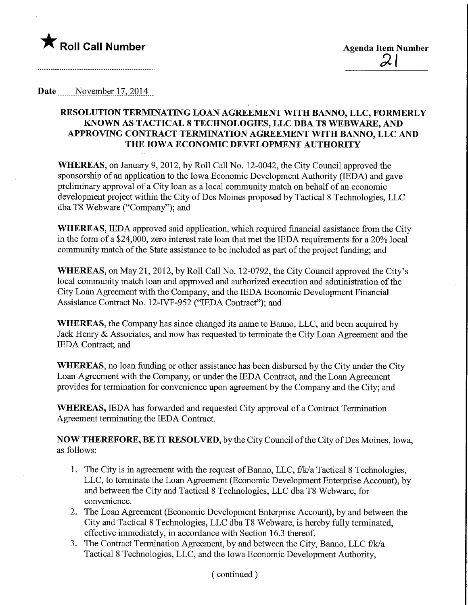

--------------------------------

Date ........November.l7,.2Q14,

## RESOLUTION TERMINATING LOAN AGREEMENT WITH BANNO, LLC, FORMERLY KNOWN AS TACTICAL 8 TECHNOLOGIES, LLC DBA T8 WEBWARE, AND APPROVmG CONTRACT TERMINATION AGREEMENT WITH BANNO, LLC AND THE IOWA ECONOMIC DEVELOPMENT AUTHORITY

WHEREAS, on January 9, 2012, by Roll Call No. 12-0042, the City Council approved the sponsorship of an application to the Iowa Economic Development Authority (IEDA) and gave preliminary approval of a City loan as a local community match on behalf of an economic development project within the City of Des Moines proposed by Tactical 8 Technologies, LLC dba T8 Webware ("Company"); and

WHEREAS, IEDA approved said application, which required financial assistance from the City in the form of a \$24,000, zero interest rate loan that met the IEDA requirements for a 20% local community match of the State assistance to be included as part of the project funding; and

WHEREAS, on May 21, 2012, by Roll Call No. 12-0792, the City Council approved the City's local community match loan and approved and authorized execution and administration of the City Loan Agreement with the Company, and the IEDA Economic Development Financial Assistance Contract No. 12-IVF-952 ("IEDA Contract"); and

WHEREAS, the Company has since changed its name to Banno, LLC, and been acquired by Jack Henry & Associates, and now has requested to terminate the City Loan Agreement and the IEDA Contract; and

WHEREAS, no loan funding or other assistance has been disbursed by the City under the City Loan Agreement with the Company, or under the IEDA Contract, and the Loan Agreement provides for termination for convenience upon agreement by the Company and the City; and

WHEREAS, IEDA has forwarded and requested City approval of a Contract Termination Agreement terminating the IEDA Contract.

NOW THEREFORE, BE IT RESOLVED, by the City Council of the City ofDes Moines, Iowa, as follows:

- 1. The City is in agreement with the request of Banno, LLC, f/k/a Tactical 8 Technologies, LLC, to terminate the Loan Agreement (Economic Development Enterprise Account), by and between the City and Tactical 8 Technologies, LLC dba T8 Webware, for convenience.
- 2. The Loan Agreement (Economic Development Enterprise Account), by and between the City and Tactical 8 Technologies, LLC dba T8 Webware, is hereby fully terminated, effective immediately, in accordance with Section 16.3 thereof.
- 3. The Contract Termination Agreement, by and between the City, Banno, LLC f/k/a Tactical 8 Technologies, LLC, and the Iowa Economic Development Authority,

(continued)